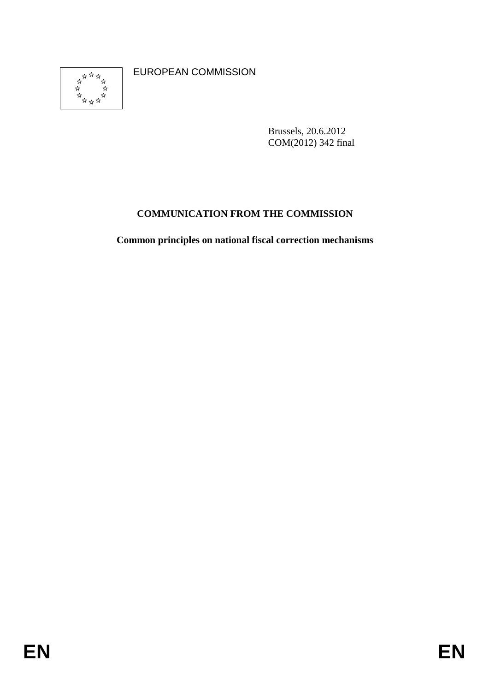

EUROPEAN COMMISSION

Brussels, 20.6.2012 COM(2012) 342 final

# **COMMUNICATION FROM THE COMMISSION**

**Common principles on national fiscal correction mechanisms**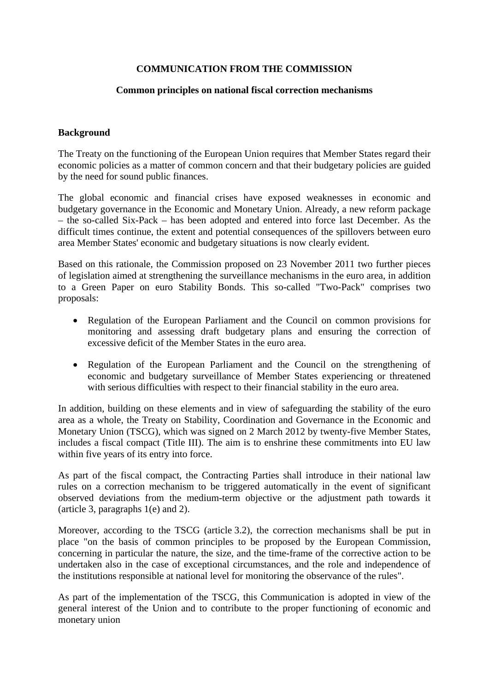# **COMMUNICATION FROM THE COMMISSION**

## **Common principles on national fiscal correction mechanisms**

## **Background**

The Treaty on the functioning of the European Union requires that Member States regard their economic policies as a matter of common concern and that their budgetary policies are guided by the need for sound public finances.

The global economic and financial crises have exposed weaknesses in economic and budgetary governance in the Economic and Monetary Union. Already, a new reform package – the so-called Six-Pack – has been adopted and entered into force last December. As the difficult times continue, the extent and potential consequences of the spillovers between euro area Member States' economic and budgetary situations is now clearly evident.

Based on this rationale, the Commission proposed on 23 November 2011 two further pieces of legislation aimed at strengthening the surveillance mechanisms in the euro area, in addition to a Green Paper on euro Stability Bonds. This so-called "Two-Pack" comprises two proposals:

- Regulation of the European Parliament and the Council on common provisions for monitoring and assessing draft budgetary plans and ensuring the correction of excessive deficit of the Member States in the euro area.
- Regulation of the European Parliament and the Council on the strengthening of economic and budgetary surveillance of Member States experiencing or threatened with serious difficulties with respect to their financial stability in the euro area.

In addition, building on these elements and in view of safeguarding the stability of the euro area as a whole, the Treaty on Stability, Coordination and Governance in the Economic and Monetary Union (TSCG), which was signed on 2 March 2012 by twenty-five Member States, includes a fiscal compact (Title III). The aim is to enshrine these commitments into EU law within five years of its entry into force.

As part of the fiscal compact, the Contracting Parties shall introduce in their national law rules on a correction mechanism to be triggered automatically in the event of significant observed deviations from the medium-term objective or the adjustment path towards it (article 3, paragraphs 1(e) and 2).

Moreover, according to the TSCG (article 3.2), the correction mechanisms shall be put in place "on the basis of common principles to be proposed by the European Commission, concerning in particular the nature, the size, and the time-frame of the corrective action to be undertaken also in the case of exceptional circumstances, and the role and independence of the institutions responsible at national level for monitoring the observance of the rules".

As part of the implementation of the TSCG, this Communication is adopted in view of the general interest of the Union and to contribute to the proper functioning of economic and monetary union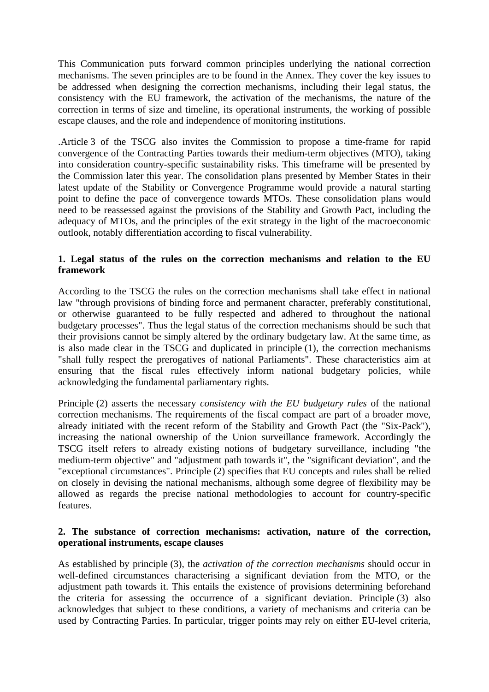This Communication puts forward common principles underlying the national correction mechanisms. The seven principles are to be found in the Annex. They cover the key issues to be addressed when designing the correction mechanisms, including their legal status, the consistency with the EU framework, the activation of the mechanisms, the nature of the correction in terms of size and timeline, its operational instruments, the working of possible escape clauses, and the role and independence of monitoring institutions.

.Article 3 of the TSCG also invites the Commission to propose a time-frame for rapid convergence of the Contracting Parties towards their medium-term objectives (MTO), taking into consideration country-specific sustainability risks. This timeframe will be presented by the Commission later this year. The consolidation plans presented by Member States in their latest update of the Stability or Convergence Programme would provide a natural starting point to define the pace of convergence towards MTOs. These consolidation plans would need to be reassessed against the provisions of the Stability and Growth Pact, including the adequacy of MTOs, and the principles of the exit strategy in the light of the macroeconomic outlook, notably differentiation according to fiscal vulnerability.

# **1. Legal status of the rules on the correction mechanisms and relation to the EU framework**

According to the TSCG the rules on the correction mechanisms shall take effect in national law "through provisions of binding force and permanent character, preferably constitutional, or otherwise guaranteed to be fully respected and adhered to throughout the national budgetary processes". Thus the legal status of the correction mechanisms should be such that their provisions cannot be simply altered by the ordinary budgetary law. At the same time, as is also made clear in the TSCG and duplicated in principle (1), the correction mechanisms "shall fully respect the prerogatives of national Parliaments". These characteristics aim at ensuring that the fiscal rules effectively inform national budgetary policies, while acknowledging the fundamental parliamentary rights.

Principle (2) asserts the necessary *consistency with the EU budgetary rules* of the national correction mechanisms. The requirements of the fiscal compact are part of a broader move, already initiated with the recent reform of the Stability and Growth Pact (the "Six-Pack"), increasing the national ownership of the Union surveillance framework. Accordingly the TSCG itself refers to already existing notions of budgetary surveillance, including "the medium-term objective" and "adjustment path towards it", the "significant deviation", and the "exceptional circumstances". Principle (2) specifies that EU concepts and rules shall be relied on closely in devising the national mechanisms, although some degree of flexibility may be allowed as regards the precise national methodologies to account for country-specific features.

# **2. The substance of correction mechanisms: activation, nature of the correction, operational instruments, escape clauses**

As established by principle (3), the *activation of the correction mechanisms* should occur in well-defined circumstances characterising a significant deviation from the MTO, or the adjustment path towards it. This entails the existence of provisions determining beforehand the criteria for assessing the occurrence of a significant deviation. Principle (3) also acknowledges that subject to these conditions, a variety of mechanisms and criteria can be used by Contracting Parties. In particular, trigger points may rely on either EU-level criteria,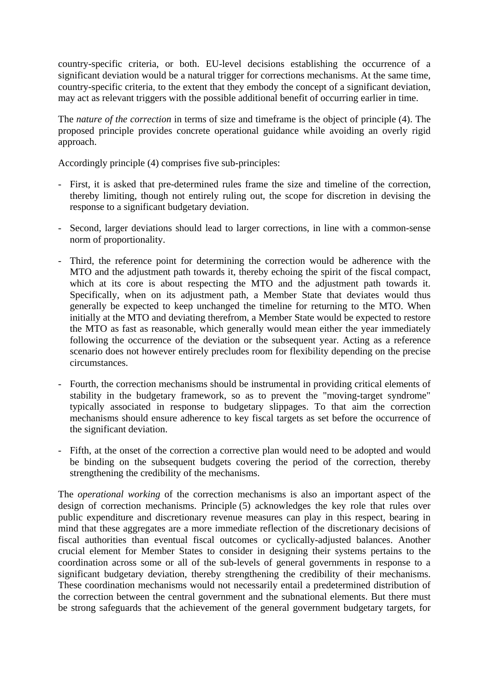country-specific criteria, or both. EU-level decisions establishing the occurrence of a significant deviation would be a natural trigger for corrections mechanisms. At the same time, country-specific criteria, to the extent that they embody the concept of a significant deviation, may act as relevant triggers with the possible additional benefit of occurring earlier in time.

The *nature of the correction* in terms of size and timeframe is the object of principle (4). The proposed principle provides concrete operational guidance while avoiding an overly rigid approach.

Accordingly principle (4) comprises five sub-principles:

- First, it is asked that pre-determined rules frame the size and timeline of the correction, thereby limiting, though not entirely ruling out, the scope for discretion in devising the response to a significant budgetary deviation.
- Second, larger deviations should lead to larger corrections, in line with a common-sense norm of proportionality.
- Third, the reference point for determining the correction would be adherence with the MTO and the adjustment path towards it, thereby echoing the spirit of the fiscal compact, which at its core is about respecting the MTO and the adjustment path towards it. Specifically, when on its adjustment path, a Member State that deviates would thus generally be expected to keep unchanged the timeline for returning to the MTO. When initially at the MTO and deviating therefrom, a Member State would be expected to restore the MTO as fast as reasonable, which generally would mean either the year immediately following the occurrence of the deviation or the subsequent year. Acting as a reference scenario does not however entirely precludes room for flexibility depending on the precise circumstances.
- Fourth, the correction mechanisms should be instrumental in providing critical elements of stability in the budgetary framework, so as to prevent the "moving-target syndrome" typically associated in response to budgetary slippages. To that aim the correction mechanisms should ensure adherence to key fiscal targets as set before the occurrence of the significant deviation.
- Fifth, at the onset of the correction a corrective plan would need to be adopted and would be binding on the subsequent budgets covering the period of the correction, thereby strengthening the credibility of the mechanisms.

The *operational working* of the correction mechanisms is also an important aspect of the design of correction mechanisms. Principle (5) acknowledges the key role that rules over public expenditure and discretionary revenue measures can play in this respect, bearing in mind that these aggregates are a more immediate reflection of the discretionary decisions of fiscal authorities than eventual fiscal outcomes or cyclically-adjusted balances. Another crucial element for Member States to consider in designing their systems pertains to the coordination across some or all of the sub-levels of general governments in response to a significant budgetary deviation, thereby strengthening the credibility of their mechanisms. These coordination mechanisms would not necessarily entail a predetermined distribution of the correction between the central government and the subnational elements. But there must be strong safeguards that the achievement of the general government budgetary targets, for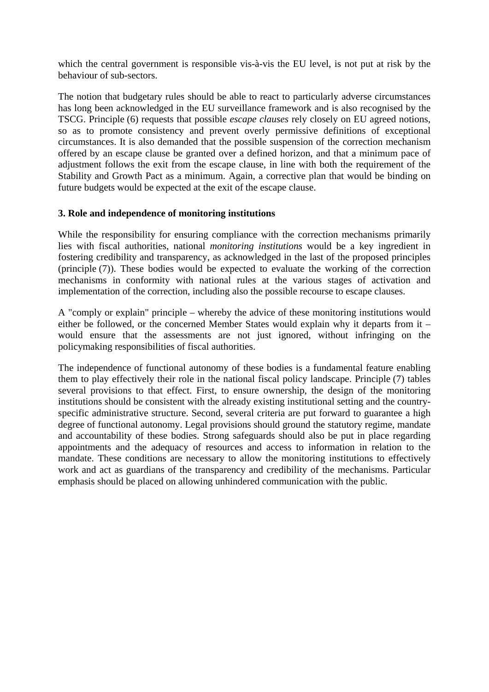which the central government is responsible vis-à-vis the EU level, is not put at risk by the behaviour of sub-sectors.

The notion that budgetary rules should be able to react to particularly adverse circumstances has long been acknowledged in the EU surveillance framework and is also recognised by the TSCG. Principle (6) requests that possible *escape clauses* rely closely on EU agreed notions, so as to promote consistency and prevent overly permissive definitions of exceptional circumstances. It is also demanded that the possible suspension of the correction mechanism offered by an escape clause be granted over a defined horizon, and that a minimum pace of adjustment follows the exit from the escape clause, in line with both the requirement of the Stability and Growth Pact as a minimum. Again, a corrective plan that would be binding on future budgets would be expected at the exit of the escape clause.

# **3. Role and independence of monitoring institutions**

While the responsibility for ensuring compliance with the correction mechanisms primarily lies with fiscal authorities, national *monitoring institutions* would be a key ingredient in fostering credibility and transparency, as acknowledged in the last of the proposed principles (principle (7)). These bodies would be expected to evaluate the working of the correction mechanisms in conformity with national rules at the various stages of activation and implementation of the correction, including also the possible recourse to escape clauses.

A "comply or explain" principle – whereby the advice of these monitoring institutions would either be followed, or the concerned Member States would explain why it departs from it – would ensure that the assessments are not just ignored, without infringing on the policymaking responsibilities of fiscal authorities.

The independence of functional autonomy of these bodies is a fundamental feature enabling them to play effectively their role in the national fiscal policy landscape. Principle (7) tables several provisions to that effect. First, to ensure ownership, the design of the monitoring institutions should be consistent with the already existing institutional setting and the countryspecific administrative structure. Second, several criteria are put forward to guarantee a high degree of functional autonomy. Legal provisions should ground the statutory regime, mandate and accountability of these bodies. Strong safeguards should also be put in place regarding appointments and the adequacy of resources and access to information in relation to the mandate. These conditions are necessary to allow the monitoring institutions to effectively work and act as guardians of the transparency and credibility of the mechanisms. Particular emphasis should be placed on allowing unhindered communication with the public.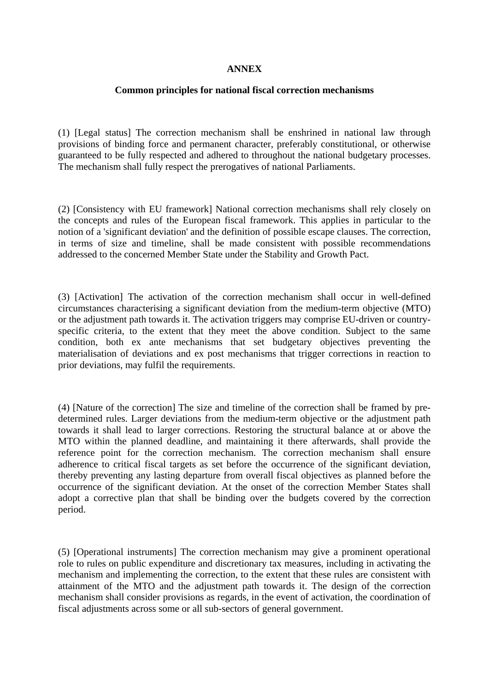## **ANNEX**

#### **Common principles for national fiscal correction mechanisms**

(1) [Legal status] The correction mechanism shall be enshrined in national law through provisions of binding force and permanent character, preferably constitutional, or otherwise guaranteed to be fully respected and adhered to throughout the national budgetary processes. The mechanism shall fully respect the prerogatives of national Parliaments.

(2) [Consistency with EU framework] National correction mechanisms shall rely closely on the concepts and rules of the European fiscal framework. This applies in particular to the notion of a 'significant deviation' and the definition of possible escape clauses. The correction, in terms of size and timeline, shall be made consistent with possible recommendations addressed to the concerned Member State under the Stability and Growth Pact.

(3) [Activation] The activation of the correction mechanism shall occur in well-defined circumstances characterising a significant deviation from the medium-term objective (MTO) or the adjustment path towards it. The activation triggers may comprise EU-driven or countryspecific criteria, to the extent that they meet the above condition. Subject to the same condition, both ex ante mechanisms that set budgetary objectives preventing the materialisation of deviations and ex post mechanisms that trigger corrections in reaction to prior deviations, may fulfil the requirements.

(4) [Nature of the correction] The size and timeline of the correction shall be framed by predetermined rules. Larger deviations from the medium-term objective or the adjustment path towards it shall lead to larger corrections. Restoring the structural balance at or above the MTO within the planned deadline, and maintaining it there afterwards, shall provide the reference point for the correction mechanism. The correction mechanism shall ensure adherence to critical fiscal targets as set before the occurrence of the significant deviation, thereby preventing any lasting departure from overall fiscal objectives as planned before the occurrence of the significant deviation. At the onset of the correction Member States shall adopt a corrective plan that shall be binding over the budgets covered by the correction period.

(5) [Operational instruments] The correction mechanism may give a prominent operational role to rules on public expenditure and discretionary tax measures, including in activating the mechanism and implementing the correction, to the extent that these rules are consistent with attainment of the MTO and the adjustment path towards it. The design of the correction mechanism shall consider provisions as regards, in the event of activation, the coordination of fiscal adjustments across some or all sub-sectors of general government.